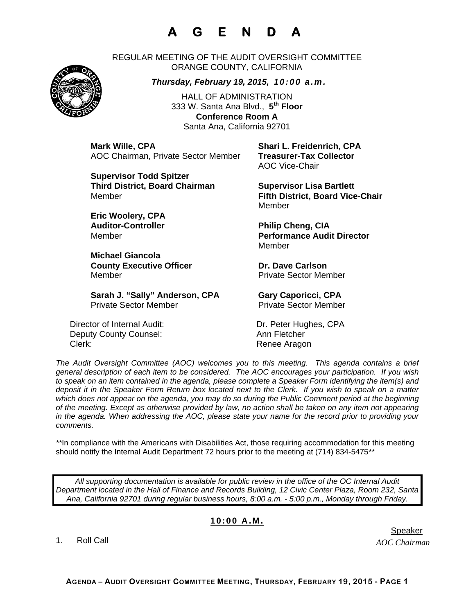## **A G E N D A**

REGULAR MEETING OF THE AUDIT OVERSIGHT COMMITTEE ORANGE COUNTY, CALIFORNIA

*Thursday, February 19, 2015, 10:00 a.m.*

HALL OF ADMINISTRATION 333 W. Santa Ana Blvd., **5th Floor Conference Room A**  Santa Ana, California 92701

**Mark Wille, CPA Shari L. Freidenrich, CPA** AOC Chairman, Private Sector Member **Treasurer-Tax Collector** 

**Supervisor Todd Spitzer Third District, Board Chairman Supervisor Lisa Bartlett** 

**Eric Woolery, CPA**  Auditor-Controller **Philip Cheng, CIA** 

**Michael Giancola County Executive Officer Carlson County Executive Officer Acts Carlson Carlson County County County County County County County County County County County County County County County County County County County County Co** Member **Member** Private Sector Member

Sarah J. "Sally" Anderson, CPA **Gary Caporicci, CPA** Private Sector Member Private Sector Member

Director of Internal Audit: Dr. Peter Hughes, CPA Deputy County Counsel: Ann Fletcher Clerk: Clerk: Clerk: Renee Aragon

AOC Vice-Chair

Member **Fifth District, Board Vice-Chair**  Member

Member **Performance Audit Director**  Member

*The Audit Oversight Committee (AOC) welcomes you to this meeting. This agenda contains a brief general description of each item to be considered. The AOC encourages your participation. If you wish to speak on an item contained in the agenda, please complete a Speaker Form identifying the item(s) and deposit it in the Speaker Form Return box located next to the Clerk. If you wish to speak on a matter which does not appear on the agenda, you may do so during the Public Comment period at the beginning of the meeting. Except as otherwise provided by law, no action shall be taken on any item not appearing in the agenda. When addressing the AOC, please state your name for the record prior to providing your comments.* 

*\*\**In compliance with the Americans with Disabilities Act, those requiring accommodation for this meeting should notify the Internal Audit Department 72 hours prior to the meeting at (714) 834-5475*\*\** 

*All supporting documentation is available for public review in the office of the OC Internal Audit Department located in the Hall of Finance and Records Building, 12 Civic Center Plaza, Room 232, Santa Ana, California 92701 during regular business hours, 8:00 a.m. - 5:00 p.m., Monday through Friday.* 

## **10:00 A.M.**

1. Roll Call

*AOC Chairman*  er in de staat de bestiet in de staat de bestiet in de bestiet in de bestiet in de bestiet in de staat de staa